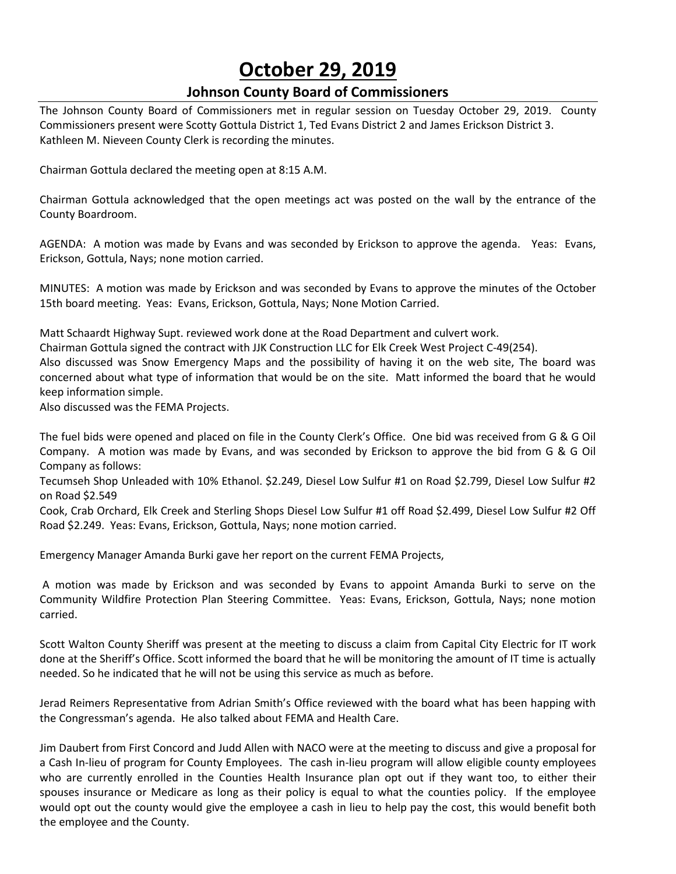# **October 29, 2019**

# **Johnson County Board of Commissioners**

The Johnson County Board of Commissioners met in regular session on Tuesday October 29, 2019. County Commissioners present were Scotty Gottula District 1, Ted Evans District 2 and James Erickson District 3. Kathleen M. Nieveen County Clerk is recording the minutes.

Chairman Gottula declared the meeting open at 8:15 A.M.

Chairman Gottula acknowledged that the open meetings act was posted on the wall by the entrance of the County Boardroom.

AGENDA: A motion was made by Evans and was seconded by Erickson to approve the agenda. Yeas: Evans, Erickson, Gottula, Nays; none motion carried.

MINUTES: A motion was made by Erickson and was seconded by Evans to approve the minutes of the October 15th board meeting. Yeas: Evans, Erickson, Gottula, Nays; None Motion Carried.

Matt Schaardt Highway Supt. reviewed work done at the Road Department and culvert work.

Chairman Gottula signed the contract with JJK Construction LLC for Elk Creek West Project C-49(254).

Also discussed was Snow Emergency Maps and the possibility of having it on the web site, The board was concerned about what type of information that would be on the site. Matt informed the board that he would keep information simple.

Also discussed was the FEMA Projects.

The fuel bids were opened and placed on file in the County Clerk's Office. One bid was received from G & G Oil Company. A motion was made by Evans, and was seconded by Erickson to approve the bid from G & G Oil Company as follows:

Tecumseh Shop Unleaded with 10% Ethanol. \$2.249, Diesel Low Sulfur #1 on Road \$2.799, Diesel Low Sulfur #2 on Road \$2.549

Cook, Crab Orchard, Elk Creek and Sterling Shops Diesel Low Sulfur #1 off Road \$2.499, Diesel Low Sulfur #2 Off Road \$2.249. Yeas: Evans, Erickson, Gottula, Nays; none motion carried.

Emergency Manager Amanda Burki gave her report on the current FEMA Projects,

A motion was made by Erickson and was seconded by Evans to appoint Amanda Burki to serve on the Community Wildfire Protection Plan Steering Committee. Yeas: Evans, Erickson, Gottula, Nays; none motion carried.

Scott Walton County Sheriff was present at the meeting to discuss a claim from Capital City Electric for IT work done at the Sheriff's Office. Scott informed the board that he will be monitoring the amount of IT time is actually needed. So he indicated that he will not be using this service as much as before.

Jerad Reimers Representative from Adrian Smith's Office reviewed with the board what has been happing with the Congressman's agenda. He also talked about FEMA and Health Care.

Jim Daubert from First Concord and Judd Allen with NACO were at the meeting to discuss and give a proposal for a Cash In-lieu of program for County Employees. The cash in-lieu program will allow eligible county employees who are currently enrolled in the Counties Health Insurance plan opt out if they want too, to either their spouses insurance or Medicare as long as their policy is equal to what the counties policy. If the employee would opt out the county would give the employee a cash in lieu to help pay the cost, this would benefit both the employee and the County.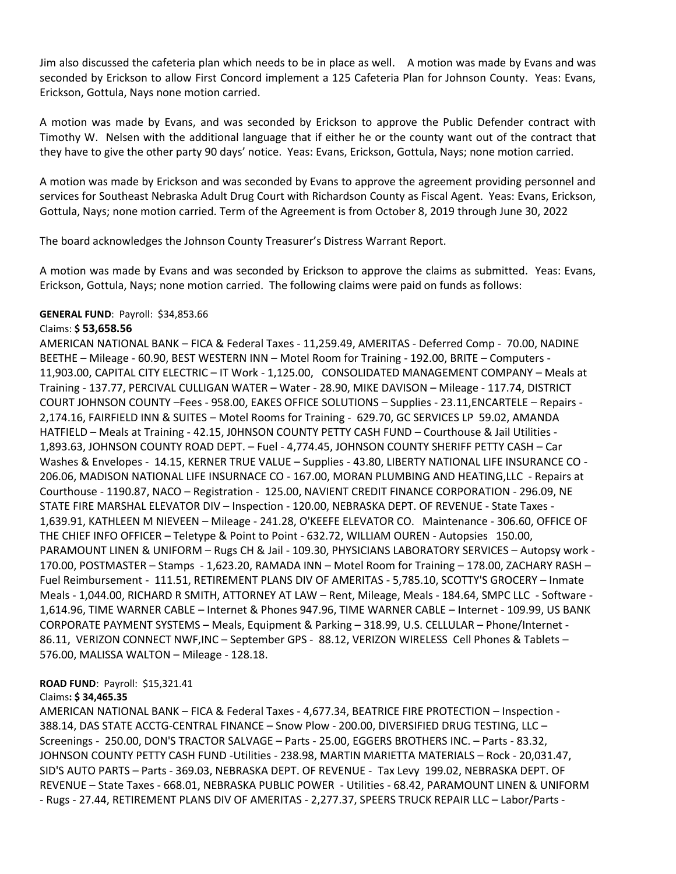Jim also discussed the cafeteria plan which needs to be in place as well. A motion was made by Evans and was seconded by Erickson to allow First Concord implement a 125 Cafeteria Plan for Johnson County. Yeas: Evans, Erickson, Gottula, Nays none motion carried.

A motion was made by Evans, and was seconded by Erickson to approve the Public Defender contract with Timothy W. Nelsen with the additional language that if either he or the county want out of the contract that they have to give the other party 90 days' notice. Yeas: Evans, Erickson, Gottula, Nays; none motion carried.

A motion was made by Erickson and was seconded by Evans to approve the agreement providing personnel and services for Southeast Nebraska Adult Drug Court with Richardson County as Fiscal Agent. Yeas: Evans, Erickson, Gottula, Nays; none motion carried. Term of the Agreement is from October 8, 2019 through June 30, 2022

The board acknowledges the Johnson County Treasurer's Distress Warrant Report.

A motion was made by Evans and was seconded by Erickson to approve the claims as submitted. Yeas: Evans, Erickson, Gottula, Nays; none motion carried. The following claims were paid on funds as follows:

#### **GENERAL FUND**: Payroll: \$34,853.66

#### Claims: **\$ 53,658.56**

AMERICAN NATIONAL BANK – FICA & Federal Taxes - 11,259.49, AMERITAS - Deferred Comp - 70.00, NADINE BEETHE – Mileage - 60.90, BEST WESTERN INN – Motel Room for Training - 192.00, BRITE – Computers - 11,903.00, CAPITAL CITY ELECTRIC – IT Work - 1,125.00, CONSOLIDATED MANAGEMENT COMPANY – Meals at Training - 137.77, PERCIVAL CULLIGAN WATER – Water - 28.90, MIKE DAVISON – Mileage - 117.74, DISTRICT COURT JOHNSON COUNTY –Fees - 958.00, EAKES OFFICE SOLUTIONS – Supplies - 23.11,ENCARTELE – Repairs - 2,174.16, FAIRFIELD INN & SUITES – Motel Rooms for Training - 629.70, GC SERVICES LP 59.02, AMANDA HATFIELD – Meals at Training - 42.15, J0HNSON COUNTY PETTY CASH FUND – Courthouse & Jail Utilities - 1,893.63, JOHNSON COUNTY ROAD DEPT. – Fuel - 4,774.45, JOHNSON COUNTY SHERIFF PETTY CASH – Car Washes & Envelopes - 14.15, KERNER TRUE VALUE – Supplies - 43.80, LIBERTY NATIONAL LIFE INSURANCE CO - 206.06, MADISON NATIONAL LIFE INSURNACE CO - 167.00, MORAN PLUMBING AND HEATING,LLC - Repairs at Courthouse - 1190.87, NACO – Registration - 125.00, NAVIENT CREDIT FINANCE CORPORATION - 296.09, NE STATE FIRE MARSHAL ELEVATOR DIV – Inspection - 120.00, NEBRASKA DEPT. OF REVENUE - State Taxes - 1,639.91, KATHLEEN M NIEVEEN – Mileage - 241.28, O'KEEFE ELEVATOR CO. Maintenance - 306.60, OFFICE OF THE CHIEF INFO OFFICER – Teletype & Point to Point - 632.72, WILLIAM OUREN - Autopsies 150.00, PARAMOUNT LINEN & UNIFORM – Rugs CH & Jail - 109.30, PHYSICIANS LABORATORY SERVICES – Autopsy work - 170.00, POSTMASTER – Stamps - 1,623.20, RAMADA INN – Motel Room for Training – 178.00, ZACHARY RASH – Fuel Reimbursement - 111.51, RETIREMENT PLANS DIV OF AMERITAS - 5,785.10, SCOTTY'S GROCERY – Inmate Meals - 1,044.00, RICHARD R SMITH, ATTORNEY AT LAW – Rent, Mileage, Meals - 184.64, SMPC LLC - Software - 1,614.96, TIME WARNER CABLE – Internet & Phones 947.96, TIME WARNER CABLE – Internet - 109.99, US BANK CORPORATE PAYMENT SYSTEMS – Meals, Equipment & Parking – 318.99, U.S. CELLULAR – Phone/Internet - 86.11, VERIZON CONNECT NWF,INC – September GPS - 88.12, VERIZON WIRELESS Cell Phones & Tablets – 576.00, MALISSA WALTON – Mileage - 128.18.

#### **ROAD FUND**: Payroll: \$15,321.41

## Claims**: \$ 34,465.35**

AMERICAN NATIONAL BANK – FICA & Federal Taxes - 4,677.34, BEATRICE FIRE PROTECTION – Inspection - 388.14, DAS STATE ACCTG-CENTRAL FINANCE – Snow Plow - 200.00, DIVERSIFIED DRUG TESTING, LLC – Screenings - 250.00, DON'S TRACTOR SALVAGE – Parts - 25.00, EGGERS BROTHERS INC. – Parts - 83.32, JOHNSON COUNTY PETTY CASH FUND -Utilities - 238.98, MARTIN MARIETTA MATERIALS – Rock - 20,031.47, SID'S AUTO PARTS – Parts - 369.03, NEBRASKA DEPT. OF REVENUE - Tax Levy 199.02, NEBRASKA DEPT. OF REVENUE – State Taxes - 668.01, NEBRASKA PUBLIC POWER - Utilities - 68.42, PARAMOUNT LINEN & UNIFORM - Rugs - 27.44, RETIREMENT PLANS DIV OF AMERITAS - 2,277.37, SPEERS TRUCK REPAIR LLC – Labor/Parts -